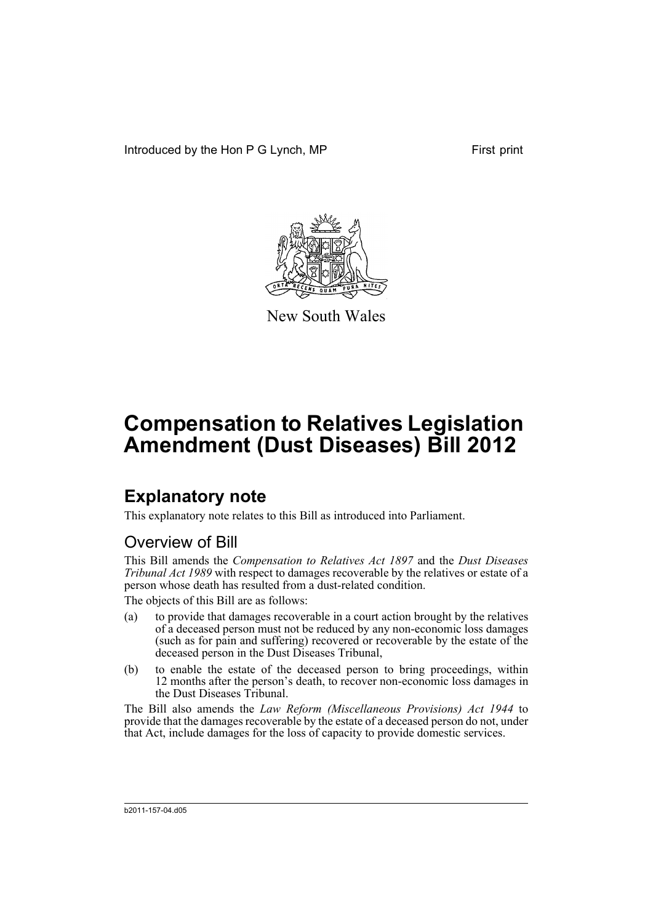Introduced by the Hon P G Lynch, MP First print



New South Wales

# **Compensation to Relatives Legislation Amendment (Dust Diseases) Bill 2012**

## **Explanatory note**

This explanatory note relates to this Bill as introduced into Parliament.

### Overview of Bill

This Bill amends the *Compensation to Relatives Act 1897* and the *Dust Diseases Tribunal Act 1989* with respect to damages recoverable by the relatives or estate of a person whose death has resulted from a dust-related condition.

The objects of this Bill are as follows:

- (a) to provide that damages recoverable in a court action brought by the relatives of a deceased person must not be reduced by any non-economic loss damages (such as for pain and suffering) recovered or recoverable by the estate of the deceased person in the Dust Diseases Tribunal,
- (b) to enable the estate of the deceased person to bring proceedings, within 12 months after the person's death, to recover non-economic loss damages in the Dust Diseases Tribunal.

The Bill also amends the *Law Reform (Miscellaneous Provisions) Act 1944* to provide that the damages recoverable by the estate of a deceased person do not, under that Act, include damages for the loss of capacity to provide domestic services.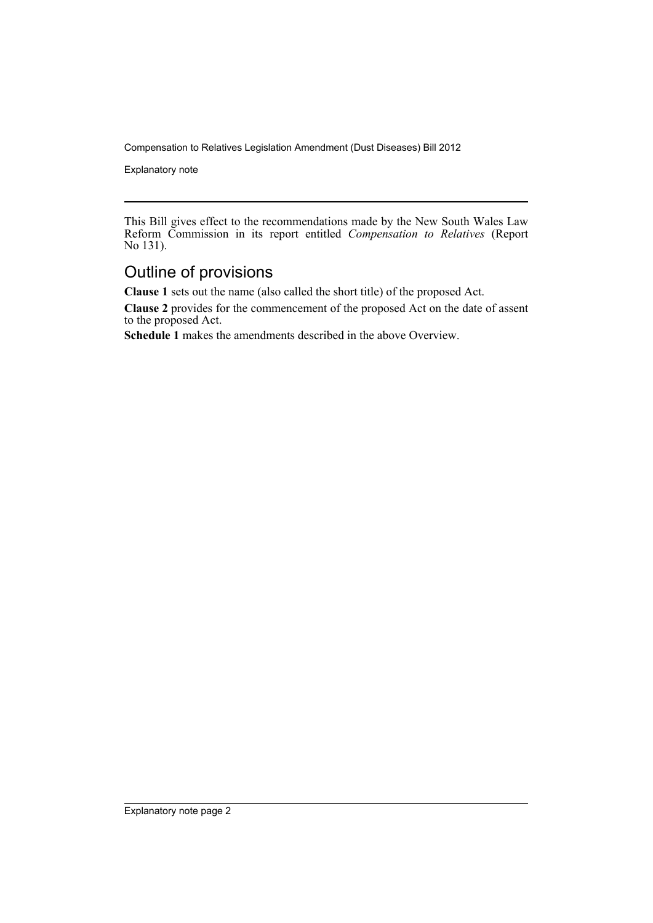Explanatory note

This Bill gives effect to the recommendations made by the New South Wales Law Reform Commission in its report entitled *Compensation to Relatives* (Report No 131).

#### Outline of provisions

**Clause 1** sets out the name (also called the short title) of the proposed Act.

**Clause 2** provides for the commencement of the proposed Act on the date of assent to the proposed Act.

**Schedule 1** makes the amendments described in the above Overview.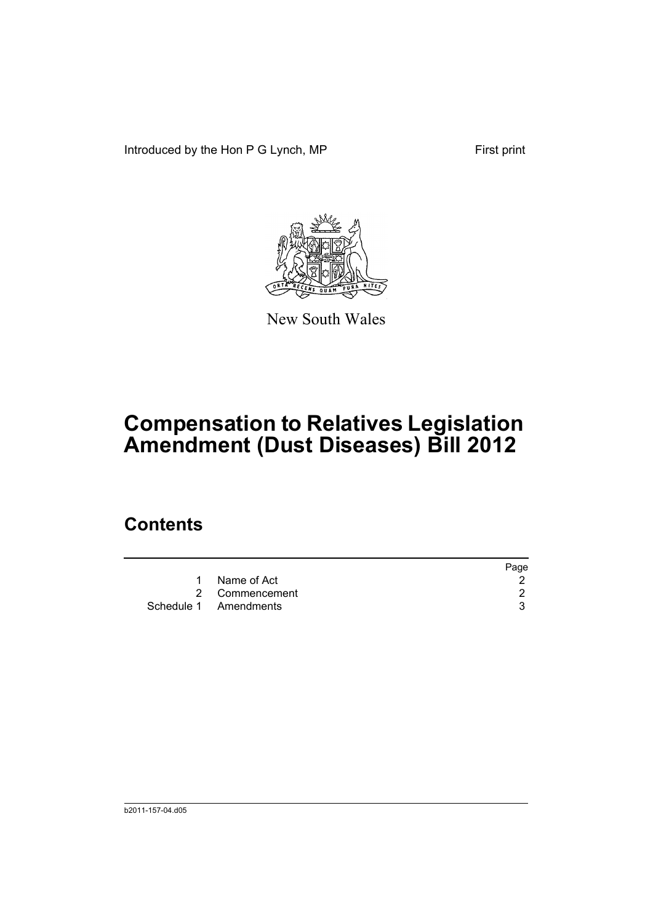Introduced by the Hon P G Lynch, MP First print



New South Wales

# **Compensation to Relatives Legislation Amendment (Dust Diseases) Bill 2012**

### **Contents**

|                       | Page |
|-----------------------|------|
| 1 Name of Act         |      |
| 2 Commencement        |      |
| Schedule 1 Amendments |      |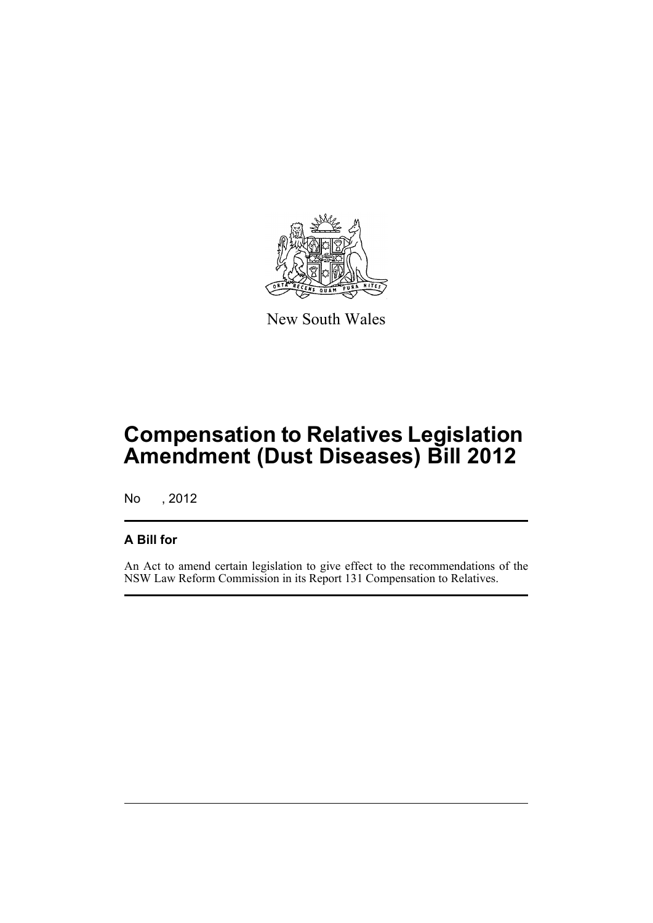

New South Wales

## **Compensation to Relatives Legislation Amendment (Dust Diseases) Bill 2012**

No , 2012

#### **A Bill for**

An Act to amend certain legislation to give effect to the recommendations of the NSW Law Reform Commission in its Report 131 Compensation to Relatives.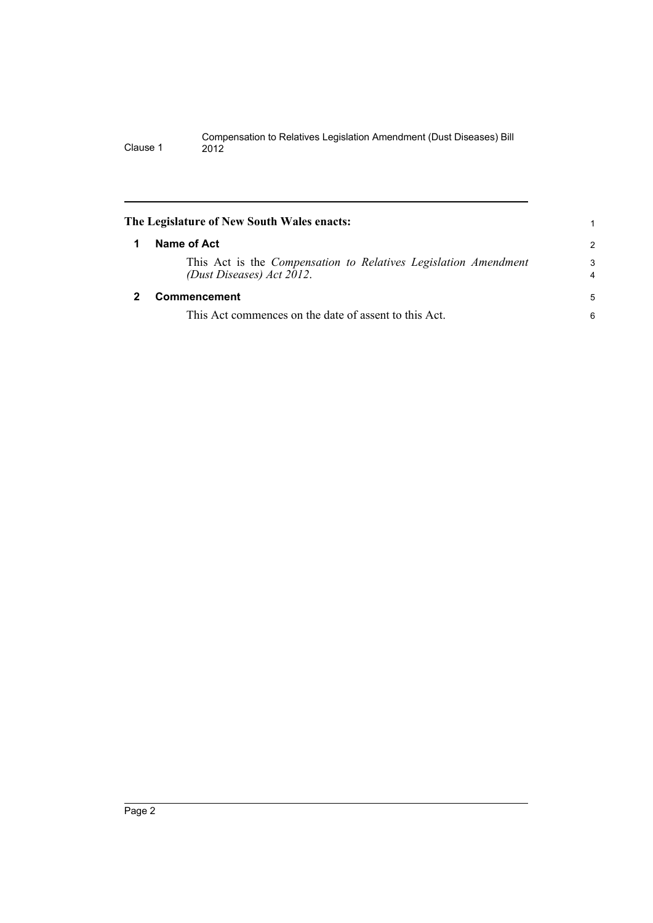<span id="page-5-1"></span><span id="page-5-0"></span>

|   | The Legislature of New South Wales enacts:                                                          |                     |
|---|-----------------------------------------------------------------------------------------------------|---------------------|
| 1 | Name of Act                                                                                         | $\overline{2}$      |
|   | This Act is the <i>Compensation to Relatives Legislation Amendment</i><br>(Dust Diseases) Act 2012. | 3<br>$\overline{4}$ |
| 2 | Commencement                                                                                        | 5                   |
|   | This Act commences on the date of assent to this Act.                                               | 6                   |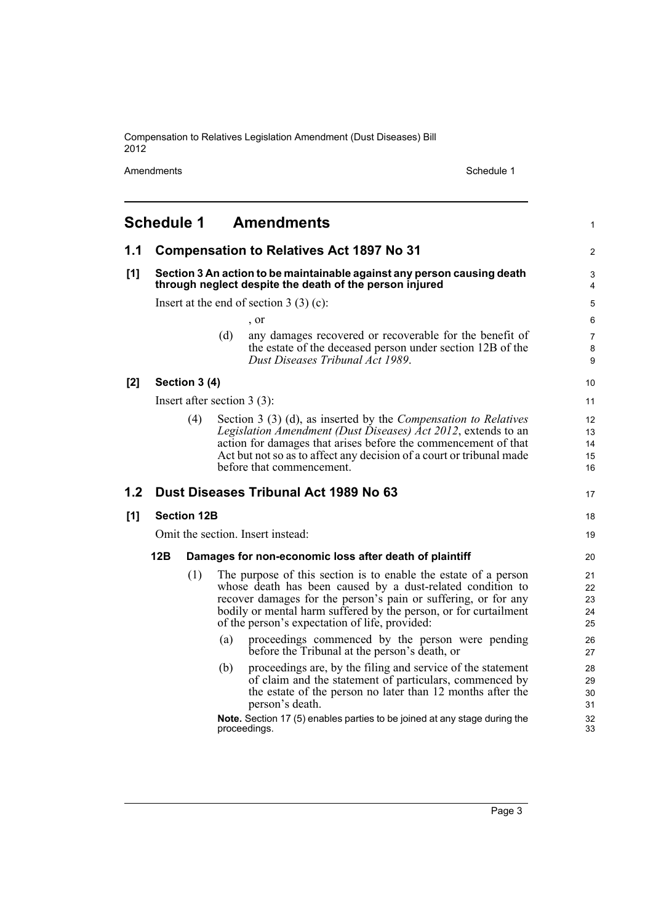Amendments Schedule 1

<span id="page-6-0"></span>

|     | <b>Schedule 1</b>                                                                                                                  |                                          | <b>Amendments</b>                                                                                                                                                                                                                                                                                                     | 1                          |  |  |
|-----|------------------------------------------------------------------------------------------------------------------------------------|------------------------------------------|-----------------------------------------------------------------------------------------------------------------------------------------------------------------------------------------------------------------------------------------------------------------------------------------------------------------------|----------------------------|--|--|
| 1.1 |                                                                                                                                    |                                          | <b>Compensation to Relatives Act 1897 No 31</b>                                                                                                                                                                                                                                                                       | 2                          |  |  |
| [1] | Section 3 An action to be maintainable against any person causing death<br>through neglect despite the death of the person injured |                                          |                                                                                                                                                                                                                                                                                                                       |                            |  |  |
|     |                                                                                                                                    | Insert at the end of section $3(3)(c)$ : |                                                                                                                                                                                                                                                                                                                       |                            |  |  |
|     |                                                                                                                                    |                                          | , or                                                                                                                                                                                                                                                                                                                  | 6                          |  |  |
|     |                                                                                                                                    |                                          | (d)<br>any damages recovered or recoverable for the benefit of<br>the estate of the deceased person under section 12B of the<br>Dust Diseases Tribunal Act 1989.                                                                                                                                                      | $\overline{7}$<br>8<br>9   |  |  |
| [2] |                                                                                                                                    | Section 3 (4)                            |                                                                                                                                                                                                                                                                                                                       | 10                         |  |  |
|     |                                                                                                                                    |                                          | Insert after section $3(3)$ :                                                                                                                                                                                                                                                                                         | 11                         |  |  |
|     |                                                                                                                                    | (4)                                      | Section 3 (3) (d), as inserted by the <i>Compensation to Relatives</i><br>Legislation Amendment (Dust Diseases) Act 2012, extends to an<br>action for damages that arises before the commencement of that<br>Act but not so as to affect any decision of a court or tribunal made<br>before that commencement.        | 12<br>13<br>14<br>15<br>16 |  |  |
| 1.2 |                                                                                                                                    |                                          | Dust Diseases Tribunal Act 1989 No 63                                                                                                                                                                                                                                                                                 | 17                         |  |  |
| [1] |                                                                                                                                    | <b>Section 12B</b>                       |                                                                                                                                                                                                                                                                                                                       | 18                         |  |  |
|     |                                                                                                                                    |                                          | Omit the section. Insert instead:                                                                                                                                                                                                                                                                                     | 19                         |  |  |
|     | 12B<br>Damages for non-economic loss after death of plaintiff                                                                      |                                          |                                                                                                                                                                                                                                                                                                                       |                            |  |  |
|     |                                                                                                                                    | (1)                                      | The purpose of this section is to enable the estate of a person<br>whose death has been caused by a dust-related condition to<br>recover damages for the person's pain or suffering, or for any<br>bodily or mental harm suffered by the person, or for curtailment<br>of the person's expectation of life, provided: | 21<br>22<br>23<br>24<br>25 |  |  |
|     |                                                                                                                                    |                                          | proceedings commenced by the person were pending<br>(a)<br>before the Tribunal at the person's death, or                                                                                                                                                                                                              | 26<br>27                   |  |  |
|     |                                                                                                                                    |                                          | proceedings are, by the filing and service of the statement<br>(b)<br>of claim and the statement of particulars, commenced by<br>the estate of the person no later than 12 months after the<br>person's death.                                                                                                        | 28<br>29<br>30<br>31       |  |  |
|     |                                                                                                                                    |                                          | Note. Section 17 (5) enables parties to be joined at any stage during the<br>proceedings.                                                                                                                                                                                                                             | 32<br>33                   |  |  |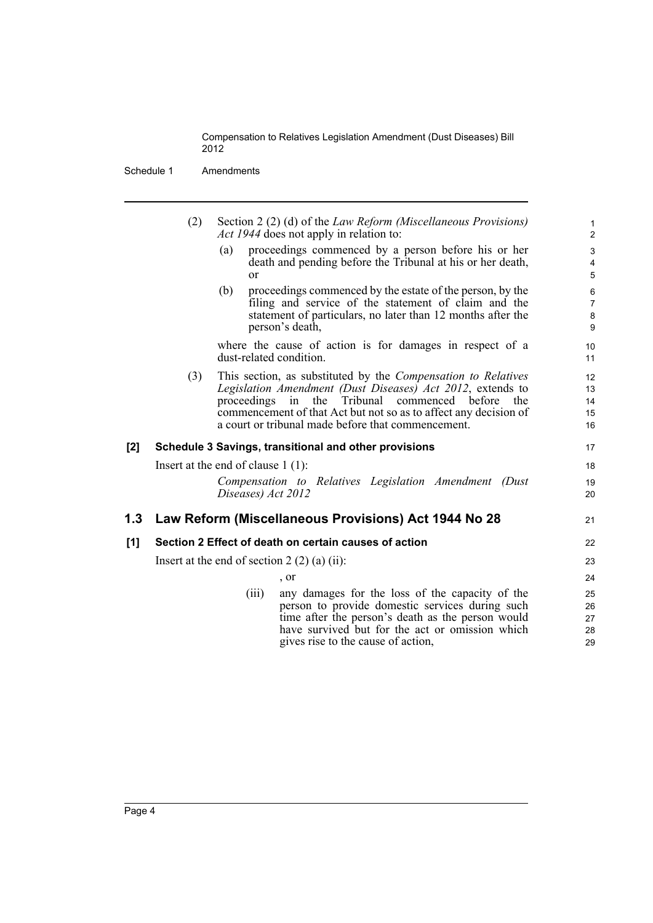Schedule 1 Amendments

|     | (2)<br>Section 2 (2) (d) of the <i>Law Reform (Miscellaneous Provisions)</i><br><i>Act 1944</i> does not apply in relation to: |                                      |                                                                                                                                                                                                                                                                                                                  | $\mathbf{1}$<br>$\overline{2}$      |
|-----|--------------------------------------------------------------------------------------------------------------------------------|--------------------------------------|------------------------------------------------------------------------------------------------------------------------------------------------------------------------------------------------------------------------------------------------------------------------------------------------------------------|-------------------------------------|
|     |                                                                                                                                | (a)<br>$\alpha$                      | proceedings commenced by a person before his or her<br>death and pending before the Tribunal at his or her death,                                                                                                                                                                                                | $\ensuremath{\mathsf{3}}$<br>4<br>5 |
|     |                                                                                                                                | (b)                                  | proceedings commenced by the estate of the person, by the<br>filing and service of the statement of claim and the<br>statement of particulars, no later than 12 months after the<br>person's death,                                                                                                              | 6<br>$\overline{7}$<br>8<br>9       |
|     | where the cause of action is for damages in respect of a<br>dust-related condition.                                            |                                      | 10<br>11                                                                                                                                                                                                                                                                                                         |                                     |
|     | (3)                                                                                                                            | proceedings                          | This section, as substituted by the <i>Compensation to Relatives</i><br>Legislation Amendment (Dust Diseases) Act 2012, extends to<br>Tribunal<br>the<br>commenced before<br>in<br>the<br>commencement of that Act but not so as to affect any decision of<br>a court or tribunal made before that commencement. | 12<br>13<br>14<br>15<br>16          |
| [2] |                                                                                                                                |                                      | Schedule 3 Savings, transitional and other provisions                                                                                                                                                                                                                                                            | 17                                  |
|     |                                                                                                                                | Insert at the end of clause $1(1)$ : |                                                                                                                                                                                                                                                                                                                  | 18                                  |
|     |                                                                                                                                | Diseases) Act 2012                   | Compensation to Relatives Legislation Amendment (Dust                                                                                                                                                                                                                                                            | 19<br>20                            |
| 1.3 |                                                                                                                                |                                      | Law Reform (Miscellaneous Provisions) Act 1944 No 28                                                                                                                                                                                                                                                             | 21                                  |
| [1] |                                                                                                                                |                                      | Section 2 Effect of death on certain causes of action                                                                                                                                                                                                                                                            | 22                                  |
|     | Insert at the end of section $2(2)(a)(ii)$ :                                                                                   |                                      | 23                                                                                                                                                                                                                                                                                                               |                                     |
|     |                                                                                                                                |                                      | , or                                                                                                                                                                                                                                                                                                             | 24                                  |
|     |                                                                                                                                | (iii)                                | any damages for the loss of the capacity of the<br>person to provide domestic services during such<br>time after the person's death as the person would<br>have survived but for the act or omission which<br>gives rise to the cause of action,                                                                 | 25<br>26<br>27<br>28<br>29          |